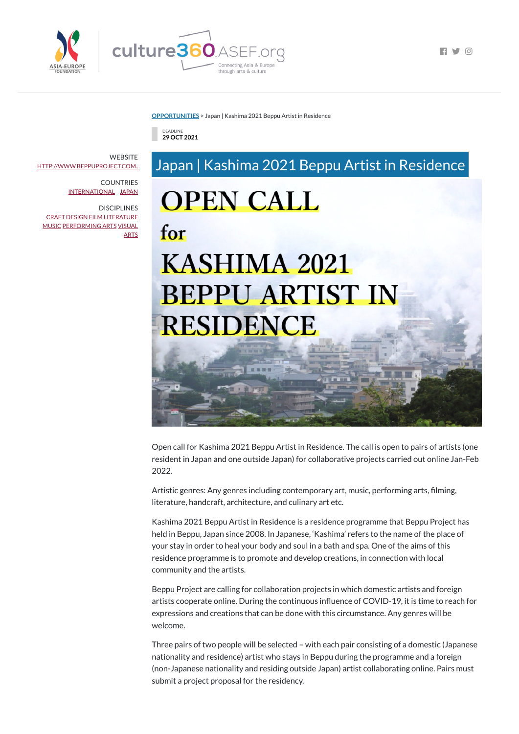

 $\Box$   $\Box$   $\Box$ 

**[OPPORTUNITIES](https://culture360.asef.org/opportunities/)** > Japan | Kashima 2021 Beppu Artist in Residence

through arts & culture

## Japan | Kashima 2021 Beppu Artist in Residence **OPEN CALL** for KASHIMA 2021

## **BEPPU ARTIST IN RESIDENCE**



DEADLINE **29 OCT 2021**

Open call for Kashima 2021 Beppu Artist in Residence. The call is open to pairs of artists (one resident in Japan and one outside Japan) for collaborative projects carried out online Jan-Feb 2022.

Artistic genres: Any genres including contemporary art, music, performing arts, filming, literature, handcraft, architecture, and culinary art etc.

Kashima 2021 Beppu Artist in Residence is a residence programme that Beppu Project has held in Beppu, Japan since 2008. In Japanese, 'Kashima' refers to the name of the place of your stay in order to heal your body and soul in a bath and spa. One of the aims of this

**WEBSITE** [HTTP://WWW.BEPPUPROJECT.COM...](http://www.beppuproject.com/news/3270)

> residence programme is to promote and develop creations, in connection with local community and the artists.

Beppu Project are calling for collaboration projects in which domestic artists and foreign artists cooperate online. During the continuous influence of COVID-19, it is time to reach for expressions and creations that can be done with this circumstance. Any genres will be welcome.

Three pairs of two people will be selected – with each pair consisting of a domestic (Japanese nationality and residence) artist who stays in Beppu during the programme and a foreign (non-Japanese nationality and residing outside Japan) artist collaborating online. Pairs must submit a project proposal for the residency.

COUNTRIES [INTERNATIONAL](https://culture360.asef.org/countries/international/) [JAPAN](https://culture360.asef.org/countries/japan/)

**DISCIPLINES** [CRAFT](https://culture360.asef.org/disciplines/craft/) [DESIGN](https://culture360.asef.org/disciplines/design/) [FILM](https://culture360.asef.org/disciplines/film/) [LITERATURE](https://culture360.asef.org/disciplines/literature/) [MUSIC](https://culture360.asef.org/disciplines/music/) [PERFORMING](https://culture360.asef.org/disciplines/performing-arts/) ARTS [VISUAL](https://culture360.asef.org/disciplines/visual-arts/) **ARTS**